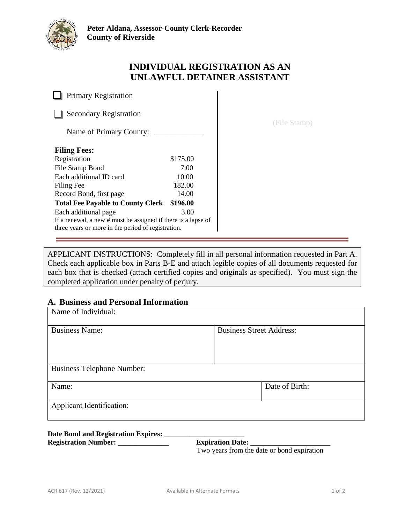

# **INDIVIDUAL REGISTRATION AS AN UNLAWFUL DETAINER ASSISTANT**

**Primary Registration** 

Secondary Registration

Name of Primary County: \_

| <b>Filing Fees:</b>                                           |          |
|---------------------------------------------------------------|----------|
| Registration                                                  | \$175.00 |
| File Stamp Bond                                               | 7.00     |
| Each additional ID card                                       | 10.00    |
| Filing Fee                                                    | 182.00   |
| Record Bond, first page                                       | 14.00    |
| <b>Total Fee Payable to County Clerk</b>                      | \$196.00 |
| Each additional page                                          | 3.00     |
| If a renewal, a new # must be assigned if there is a lapse of |          |
| three years or more in the period of registration.            |          |

(File Stamp)

APPLICANT INSTRUCTIONS: Completely fill in all personal information requested in Part A. Check each applicable box in Parts B-E and attach legible copies of all documents requested for each box that is checked (attach certified copies and originals as specified). You must sign the completed application under penalty of perjury.

# **A. Business and Personal Information**

| Name of Individual:               |                                 |  |
|-----------------------------------|---------------------------------|--|
| <b>Business Name:</b>             | <b>Business Street Address:</b> |  |
| <b>Business Telephone Number:</b> |                                 |  |
| Name:                             | Date of Birth:                  |  |
| Applicant Identification:         |                                 |  |

# **Date Bond and Registration Expires: \_\_\_\_\_\_\_\_\_\_\_\_\_\_\_\_\_\_\_\_\_\_**

Registration Number: \_\_\_\_\_\_\_\_\_\_\_\_\_\_\_\_\_\_\_\_ Expiration Date: \_\_\_\_\_\_\_\_\_\_\_\_\_\_\_\_\_\_\_\_\_\_

Two years from the date or bond expiration